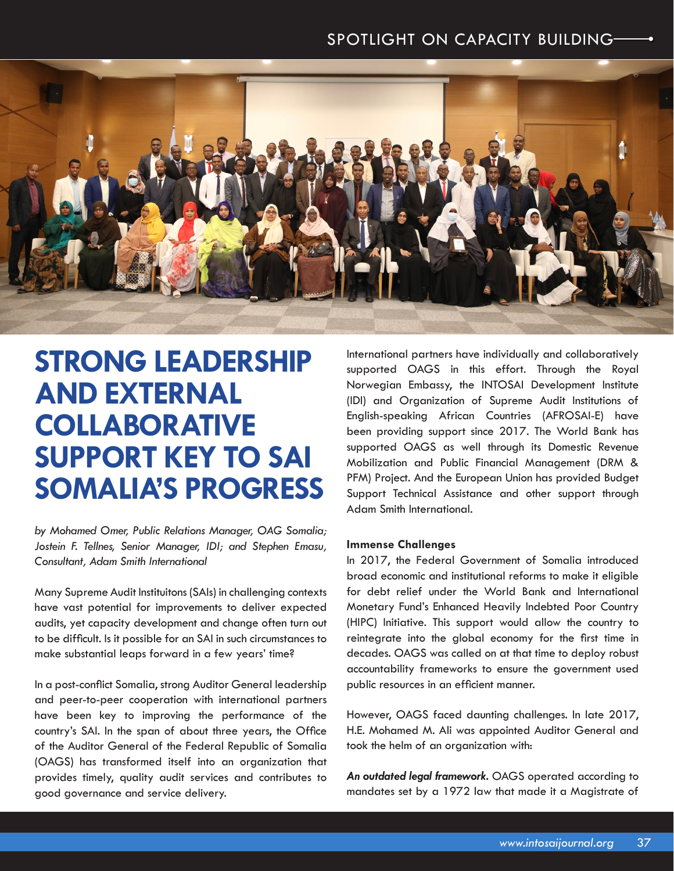## SPOTLIGHT ON CAPACITY BUILDING SPOTLIGHT ON CAPACITY BUILDING



# **STRONG LEADERSHIP AND EXTERNAL COLLABORATIVE SUPPORT KEY TO SAI SOMALIA'S PROGRESS**

*by Mohamed Omer, Public Relations Manager, OAG Somalia; Jostein F. Tellnes, Senior Manager, IDI; and Stephen Emasu, Consultant, Adam Smith International*

Many Supreme Audit Instituitons (SAIs) in challenging contexts have vast potential for improvements to deliver expected audits, yet capacity development and change often turn out to be difficult. Is it possible for an SAI in such circumstances to make substantial leaps forward in a few years' time?

In a post-conflict Somalia, strong Auditor General leadership and peer-to-peer cooperation with international partners have been key to improving the performance of the country's SAI. In the span of about three years, the Office of the Auditor General of the Federal Republic of Somalia (OAGS) has transformed itself into an organization that provides timely, quality audit services and contributes to good governance and service delivery.

International partners have individually and collaboratively supported OAGS in this effort. Through the Royal Norwegian Embassy, the INTOSAI Development Institute (IDI) and Organization of Supreme Audit Institutions of English-speaking African Countries (AFROSAI-E) have been providing support since 2017. The World Bank has supported OAGS as well through its Domestic Revenue Mobilization and Public Financial Management (DRM & PFM) Project. And the European Union has provided Budget Support Technical Assistance and other support through Adam Smith International.

#### **Immense Challenges**

In 2017, the Federal Government of Somalia introduced broad economic and institutional reforms to make it eligible for debt relief under the World Bank and International Monetary Fund's Enhanced Heavily Indebted Poor Country (HIPC) Initiative. This support would allow the country to reintegrate into the global economy for the first time in decades. OAGS was called on at that time to deploy robust accountability frameworks to ensure the government used public resources in an efficient manner.

However, OAGS faced daunting challenges. In late 2017, H.E. Mohamed M. Ali was appointed Auditor General and took the helm of an organization with:

*An outdated legal framework.* OAGS operated according to mandates set by a 1972 law that made it a Magistrate of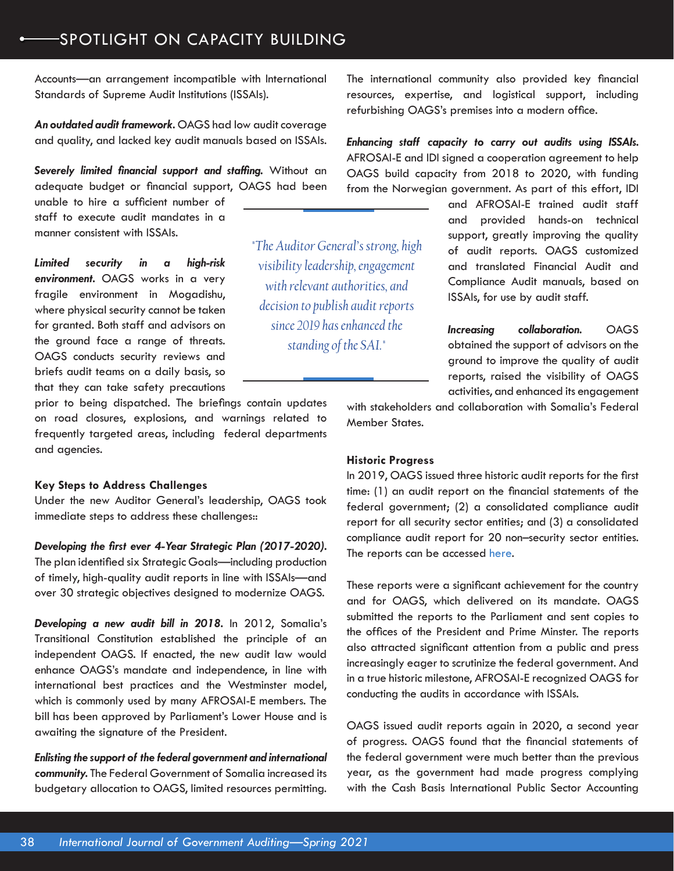### SPOTLIGHT ON CAPACITY BUILDING

Accounts—an arrangement incompatible with International Standards of Supreme Audit Institutions (ISSAIs).

*An outdated audit framework.* OAGS had low audit coverage and quality, and lacked key audit manuals based on ISSAIs.

*Severely limited financial support and staffing.* Without an adequate budget or financial support, OAGS had been

unable to hire a sufficient number of staff to execute audit mandates in a manner consistent with ISSAIs.

*Limited security in a high-risk environment.* OAGS works in a very fragile environment in Mogadishu, where physical security cannot be taken for granted. Both staff and advisors on the ground face a range of threats. OAGS conducts security reviews and briefs audit teams on a daily basis, so that they can take safety precautions

prior to being dispatched. The briefings contain updates on road closures, explosions, and warnings related to frequently targeted areas, including federal departments and agencies.

#### **Key Steps to Address Challenges**

Under the new Auditor General's leadership, OAGS took immediate steps to address these challenges::

*Developing the first ever 4-Year Strategic Plan (2017-2020).* The plan identified six Strategic Goals—including production

of timely, high-quality audit reports in line with ISSAIs—and over 30 strategic objectives designed to modernize OAGS.

*Developing a new audit bill in 2018.* In 2012, Somalia's Transitional Constitution established the principle of an independent OAGS. If enacted, the new audit law would enhance OAGS's mandate and independence, in line with international best practices and the Westminster model, which is commonly used by many AFROSAI-E members. The bill has been approved by Parliament's Lower House and is awaiting the signature of the President.

*Enlisting the support of the federal government and international community.* The Federal Government of Somalia increased its budgetary allocation to OAGS, limited resources permitting.

The international community also provided key financial resources, expertise, and logistical support, including refurbishing OAGS's premises into a modern office.

*Enhancing staff capacity to carry out audits using ISSAIs.* AFROSAI-E and IDI signed a cooperation agreement to help OAGS build capacity from 2018 to 2020, with funding from the Norwegian government. As part of this effort, IDI

> and AFROSAI-E trained audit staff and provided hands-on technical support, greatly improving the quality of audit reports. OAGS customized and translated Financial Audit and Compliance Audit manuals, based on ISSAIs, for use by audit staff.

> *Increasing collaboration.* OAGS obtained the support of advisors on the ground to improve the quality of audit reports, raised the visibility of OAGS activities, and enhanced its engagement

with stakeholders and collaboration with Somalia's Federal Member States.

#### **Historic Progress**

*"The Auditor General's strong, high visibility leadership, engagement with relevant authorities, and decision to publish audit reports since 2019 has enhanced the standing of the SAI."* 

> In 2019, OAGS issued three historic audit reports for the first time: (1) an audit report on the financial statements of the federal government; (2) a consolidated compliance audit report for all security sector entities; and (3) a consolidated compliance audit report for 20 non–security sector entities. The reports can be accessed [here](https://oag.gov.so/audit-reports/).

> These reports were a significant achievement for the country and for OAGS, which delivered on its mandate. OAGS submitted the reports to the Parliament and sent copies to the offices of the President and Prime Minster. The reports also attracted significant attention from a public and press increasingly eager to scrutinize the federal government. And in a true historic milestone, AFROSAI-E recognized OAGS for conducting the audits in accordance with ISSAIs.

> OAGS issued audit reports again in 2020, a second year of progress. OAGS found that the financial statements of the federal government were much better than the previous year, as the government had made progress complying with the Cash Basis International Public Sector Accounting